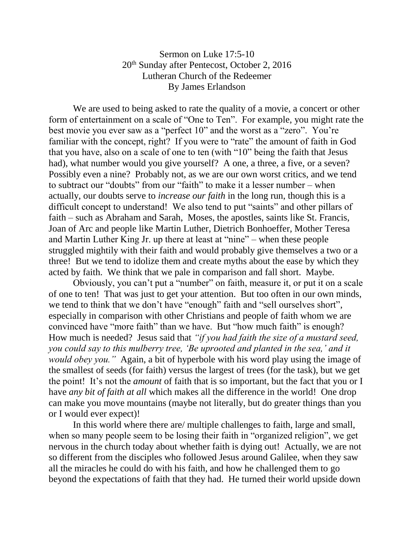## Sermon on Luke 17:5-10 20<sup>th</sup> Sunday after Pentecost, October 2, 2016 Lutheran Church of the Redeemer By James Erlandson

We are used to being asked to rate the quality of a movie, a concert or other form of entertainment on a scale of "One to Ten". For example, you might rate the best movie you ever saw as a "perfect 10" and the worst as a "zero". You're familiar with the concept, right? If you were to "rate" the amount of faith in God that you have, also on a scale of one to ten (with "10" being the faith that Jesus had), what number would you give yourself? A one, a three, a five, or a seven? Possibly even a nine? Probably not, as we are our own worst critics, and we tend to subtract our "doubts" from our "faith" to make it a lesser number – when actually, our doubts serve to *increase our faith* in the long run, though this is a difficult concept to understand! We also tend to put "saints" and other pillars of faith – such as Abraham and Sarah, Moses, the apostles, saints like St. Francis, Joan of Arc and people like Martin Luther, Dietrich Bonhoeffer, Mother Teresa and Martin Luther King Jr. up there at least at "nine" – when these people struggled mightily with their faith and would probably give themselves a two or a three! But we tend to idolize them and create myths about the ease by which they acted by faith. We think that we pale in comparison and fall short. Maybe.

Obviously, you can't put a "number" on faith, measure it, or put it on a scale of one to ten! That was just to get your attention. But too often in our own minds, we tend to think that we don't have "enough" faith and "sell ourselves short", especially in comparison with other Christians and people of faith whom we are convinced have "more faith" than we have. But "how much faith" is enough? How much is needed? Jesus said that *"if you had faith the size of a mustard seed, you could say to this mulberry tree, 'Be uprooted and planted in the sea,' and it would obey you."* Again, a bit of hyperbole with his word play using the image of the smallest of seeds (for faith) versus the largest of trees (for the task), but we get the point! It's not the *amount* of faith that is so important, but the fact that you or I have *any bit of faith at all* which makes all the difference in the world! One drop can make you move mountains (maybe not literally, but do greater things than you or I would ever expect)!

In this world where there are/ multiple challenges to faith, large and small, when so many people seem to be losing their faith in "organized religion", we get nervous in the church today about whether faith is dying out! Actually, we are not so different from the disciples who followed Jesus around Galilee, when they saw all the miracles he could do with his faith, and how he challenged them to go beyond the expectations of faith that they had. He turned their world upside down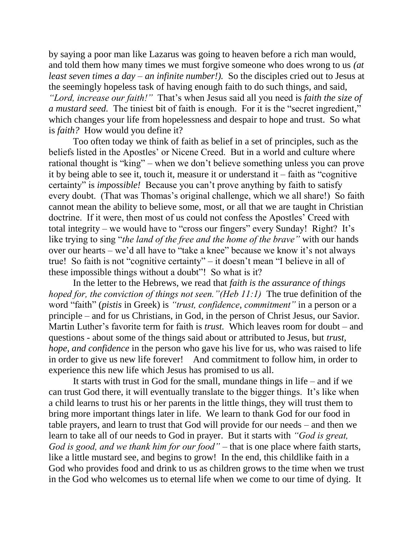by saying a poor man like Lazarus was going to heaven before a rich man would, and told them how many times we must forgive someone who does wrong to us *(at least seven times a day – an infinite number!).* So the disciples cried out to Jesus at the seemingly hopeless task of having enough faith to do such things, and said, *"Lord, increase our faith!"* That's when Jesus said all you need is *faith the size of a mustard seed.* The tiniest bit of faith is enough. For it is the "secret ingredient," which changes your life from hopelessness and despair to hope and trust. So what is *faith?* How would you define it?

Too often today we think of faith as belief in a set of principles, such as the beliefs listed in the Apostles' or Nicene Creed. But in a world and culture where rational thought is "king" – when we don't believe something unless you can prove it by being able to see it, touch it, measure it or understand it – faith as "cognitive certainty" is *impossible!* Because you can't prove anything by faith to satisfy every doubt. (That was Thomas's original challenge, which we all share!) So faith cannot mean the ability to believe some, most, or all that we are taught in Christian doctrine. If it were, then most of us could not confess the Apostles' Creed with total integrity – we would have to "cross our fingers" every Sunday! Right? It's like trying to sing "*the land of the free and the home of the brave"* with our hands over our hearts – we'd all have to "take a knee" because we know it's not always true! So faith is not "cognitive certainty" – it doesn't mean "I believe in all of these impossible things without a doubt"! So what is it?

In the letter to the Hebrews, we read that *faith is the assurance of things hoped for, the conviction of things not seen."(Heb 11:1)* The true definition of the word "faith" (*pistis* in Greek) is *"trust, confidence, commitment"* in a person or a principle – and for us Christians, in God, in the person of Christ Jesus, our Savior. Martin Luther's favorite term for faith is *trust.* Which leaves room for doubt – and questions - about some of the things said about or attributed to Jesus, but *trust, hope, and confidence* in the person who gave his live for us, who was raised to life in order to give us new life forever! And commitment to follow him, in order to experience this new life which Jesus has promised to us all.

It starts with trust in God for the small, mundane things in life – and if we can trust God there, it will eventually translate to the bigger things. It's like when a child learns to trust his or her parents in the little things, they will trust them to bring more important things later in life. We learn to thank God for our food in table prayers, and learn to trust that God will provide for our needs – and then we learn to take all of our needs to God in prayer. But it starts with *"God is great, God is good, and we thank him for our food"* – that is one place where faith starts, like a little mustard see, and begins to grow! In the end, this childlike faith in a God who provides food and drink to us as children grows to the time when we trust in the God who welcomes us to eternal life when we come to our time of dying. It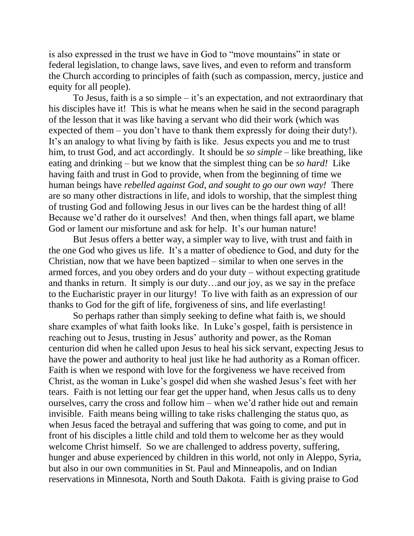is also expressed in the trust we have in God to "move mountains" in state or federal legislation, to change laws, save lives, and even to reform and transform the Church according to principles of faith (such as compassion, mercy, justice and equity for all people).

To Jesus, faith is a so simple – it's an expectation, and not extraordinary that his disciples have it! This is what he means when he said in the second paragraph of the lesson that it was like having a servant who did their work (which was expected of them – you don't have to thank them expressly for doing their duty!). It's an analogy to what living by faith is like. Jesus expects you and me to trust him, to trust God, and act accordingly. It should be *so simple* – like breathing, like eating and drinking – but we know that the simplest thing can be *so hard!* Like having faith and trust in God to provide, when from the beginning of time we human beings have *rebelled against God, and sought to go our own way!* There are so many other distractions in life, and idols to worship, that the simplest thing of trusting God and following Jesus in our lives can be the hardest thing of all! Because we'd rather do it ourselves! And then, when things fall apart, we blame God or lament our misfortune and ask for help. It's our human nature!

But Jesus offers a better way, a simpler way to live, with trust and faith in the one God who gives us life. It's a matter of obedience to God, and duty for the Christian, now that we have been baptized – similar to when one serves in the armed forces, and you obey orders and do your duty – without expecting gratitude and thanks in return. It simply is our duty…and our joy, as we say in the preface to the Eucharistic prayer in our liturgy! To live with faith as an expression of our thanks to God for the gift of life, forgiveness of sins, and life everlasting!

So perhaps rather than simply seeking to define what faith is, we should share examples of what faith looks like. In Luke's gospel, faith is persistence in reaching out to Jesus, trusting in Jesus' authority and power, as the Roman centurion did when he called upon Jesus to heal his sick servant, expecting Jesus to have the power and authority to heal just like he had authority as a Roman officer. Faith is when we respond with love for the forgiveness we have received from Christ, as the woman in Luke's gospel did when she washed Jesus's feet with her tears. Faith is not letting our fear get the upper hand, when Jesus calls us to deny ourselves, carry the cross and follow him – when we'd rather hide out and remain invisible. Faith means being willing to take risks challenging the status quo, as when Jesus faced the betrayal and suffering that was going to come, and put in front of his disciples a little child and told them to welcome her as they would welcome Christ himself. So we are challenged to address poverty, suffering, hunger and abuse experienced by children in this world, not only in Aleppo, Syria, but also in our own communities in St. Paul and Minneapolis, and on Indian reservations in Minnesota, North and South Dakota. Faith is giving praise to God